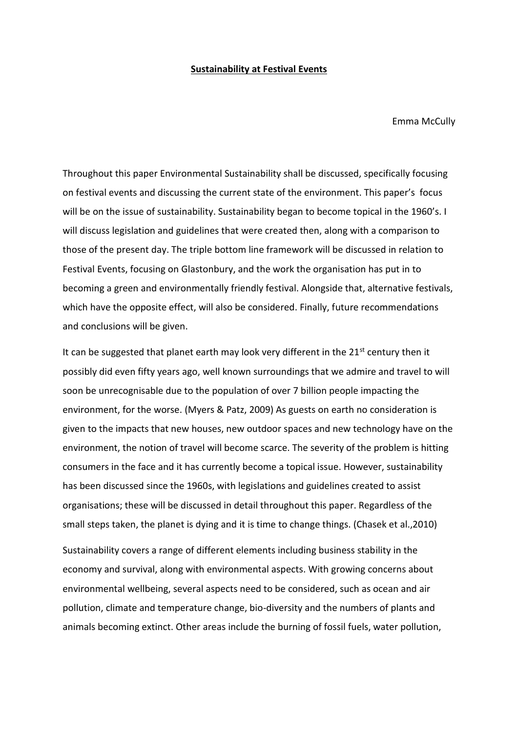## **Sustainability at Festival Events**

Emma McCully

Throughout this paper Environmental Sustainability shall be discussed, specifically focusing on festival events and discussing the current state of the environment. This paper's focus will be on the issue of sustainability. Sustainability began to become topical in the 1960's. I will discuss legislation and guidelines that were created then, along with a comparison to those of the present day. The triple bottom line framework will be discussed in relation to Festival Events, focusing on Glastonbury, and the work the organisation has put in to becoming a green and environmentally friendly festival. Alongside that, alternative festivals, which have the opposite effect, will also be considered. Finally, future recommendations and conclusions will be given.

It can be suggested that planet earth may look very different in the 21<sup>st</sup> century then it possibly did even fifty years ago, well known surroundings that we admire and travel to will soon be unrecognisable due to the population of over 7 billion people impacting the environment, for the worse. (Myers & Patz, 2009) As guests on earth no consideration is given to the impacts that new houses, new outdoor spaces and new technology have on the environment, the notion of travel will become scarce. The severity of the problem is hitting consumers in the face and it has currently become a topical issue. However, sustainability has been discussed since the 1960s, with legislations and guidelines created to assist organisations; these will be discussed in detail throughout this paper. Regardless of the small steps taken, the planet is dying and it is time to change things. (Chasek et al.,2010)

Sustainability covers a range of different elements including business stability in the economy and survival, along with environmental aspects. With growing concerns about environmental wellbeing, several aspects need to be considered, such as ocean and air pollution, climate and temperature change, bio-diversity and the numbers of plants and animals becoming extinct. Other areas include the burning of fossil fuels, water pollution,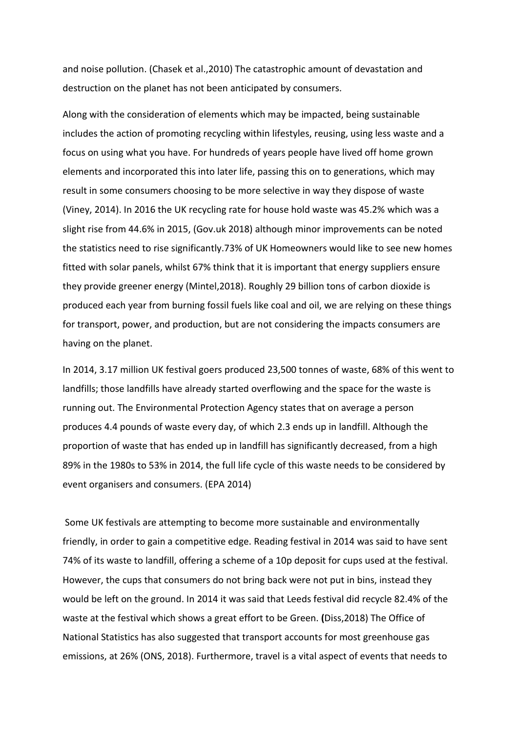and noise pollution. (Chasek et al.,2010) The catastrophic amount of devastation and destruction on the planet has not been anticipated by consumers.

Along with the consideration of elements which may be impacted, being sustainable includes the action of promoting recycling within lifestyles, reusing, using less waste and a focus on using what you have. For hundreds of years people have lived off home grown elements and incorporated this into later life, passing this on to generations, which may result in some consumers choosing to be more selective in way they dispose of waste (Viney, 2014). In 2016 the UK recycling rate for house hold waste was 45.2% which was a slight rise from 44.6% in 2015, (Gov.uk 2018) although minor improvements can be noted the statistics need to rise significantly.73% of UK Homeowners would like to see new homes fitted with solar panels, whilst 67% think that it is important that energy suppliers ensure they provide greener energy (Mintel,2018). Roughly 29 billion tons of carbon dioxide is produced each year from burning fossil fuels like coal and oil, we are relying on these things for transport, power, and production, but are not considering the impacts consumers are having on the planet.

In 2014, 3.17 million UK festival goers produced 23,500 tonnes of waste, 68% of this went to landfills; those landfills have already started overflowing and the space for the waste is running out. The Environmental Protection Agency states that on average a person produces 4.4 pounds of waste every day, of which 2.3 ends up in landfill. Although the proportion of waste that has ended up in landfill has significantly decreased, from a high 89% in the 1980s to 53% in 2014, the full life cycle of this waste needs to be considered by event organisers and consumers. (EPA 2014)

Some UK festivals are attempting to become more sustainable and environmentally friendly, in order to gain a competitive edge. Reading festival in 2014 was said to have sent 74% of its waste to landfill, offering a scheme of a 10p deposit for cups used at the festival. However, the cups that consumers do not bring back were not put in bins, instead they would be left on the ground. In 2014 it was said that Leeds festival did recycle 82.4% of the waste at the festival which shows a great effort to be Green. **(**Diss,2018) The Office of National Statistics has also suggested that transport accounts for most greenhouse gas emissions, at 26% (ONS, 2018). Furthermore, travel is a vital aspect of events that needs to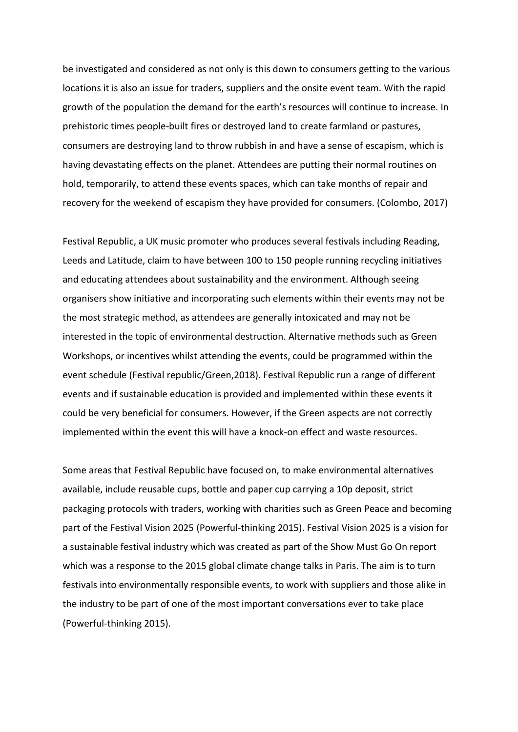be investigated and considered as not only is this down to consumers getting to the various locations it is also an issue for traders, suppliers and the onsite event team. With the rapid growth of the population the demand for the earth's resources will continue to increase. In prehistoric times people-built fires or destroyed land to create farmland or pastures, consumers are destroying land to throw rubbish in and have a sense of escapism, which is having devastating effects on the planet. Attendees are putting their normal routines on hold, temporarily, to attend these events spaces, which can take months of repair and recovery for the weekend of escapism they have provided for consumers. (Colombo, 2017)

Festival Republic, a UK music promoter who produces several festivals including Reading, Leeds and Latitude, claim to have between 100 to 150 people running recycling initiatives and educating attendees about sustainability and the environment. Although seeing organisers show initiative and incorporating such elements within their events may not be the most strategic method, as attendees are generally intoxicated and may not be interested in the topic of environmental destruction. Alternative methods such as Green Workshops, or incentives whilst attending the events, could be programmed within the event schedule (Festival republic/Green,2018). Festival Republic run a range of different events and if sustainable education is provided and implemented within these events it could be very beneficial for consumers. However, if the Green aspects are not correctly implemented within the event this will have a knock-on effect and waste resources.

Some areas that Festival Republic have focused on, to make environmental alternatives available, include reusable cups, bottle and paper cup carrying a 10p deposit, strict packaging protocols with traders, working with charities such as Green Peace and becoming part of the Festival Vision 2025 (Powerful-thinking 2015). Festival Vision 2025 is a vision for a sustainable festival industry which was created as part of the Show Must Go On report which was a response to the 2015 global climate change talks in Paris. The aim is to turn festivals into environmentally responsible events, to work with suppliers and those alike in the industry to be part of one of the most important conversations ever to take place (Powerful-thinking 2015).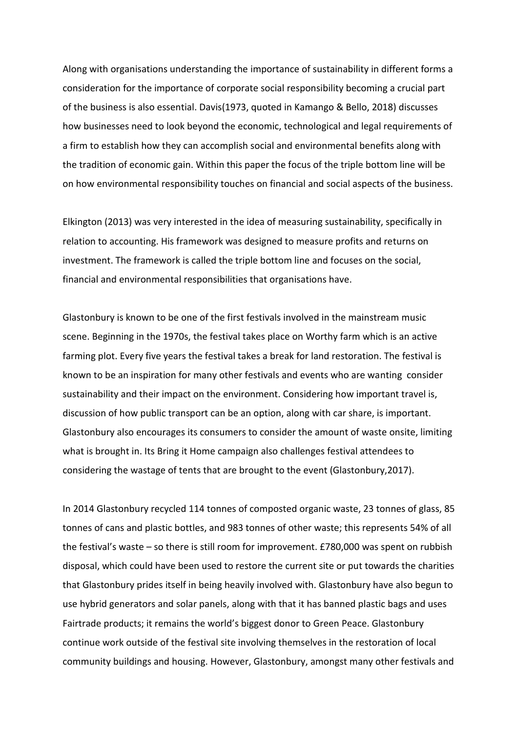Along with organisations understanding the importance of sustainability in different forms a consideration for the importance of corporate social responsibility becoming a crucial part of the business is also essential. Davis(1973, quoted in Kamango & Bello, 2018) discusses how businesses need to look beyond the economic, technological and legal requirements of a firm to establish how they can accomplish social and environmental benefits along with the tradition of economic gain. Within this paper the focus of the triple bottom line will be on how environmental responsibility touches on financial and social aspects of the business.

Elkington (2013) was very interested in the idea of measuring sustainability, specifically in relation to accounting. His framework was designed to measure profits and returns on investment. The framework is called the triple bottom line and focuses on the social, financial and environmental responsibilities that organisations have.

Glastonbury is known to be one of the first festivals involved in the mainstream music scene. Beginning in the 1970s, the festival takes place on Worthy farm which is an active farming plot. Every five years the festival takes a break for land restoration. The festival is known to be an inspiration for many other festivals and events who are wanting consider sustainability and their impact on the environment. Considering how important travel is, discussion of how public transport can be an option, along with car share, is important. Glastonbury also encourages its consumers to consider the amount of waste onsite, limiting what is brought in. Its Bring it Home campaign also challenges festival attendees to considering the wastage of tents that are brought to the event (Glastonbury,2017).

In 2014 Glastonbury recycled 114 tonnes of composted organic waste, 23 tonnes of glass, 85 tonnes of cans and plastic bottles, and 983 tonnes of other waste; this represents 54% of all the festival's waste – so there is still room for improvement. £780,000 was spent on rubbish disposal, which could have been used to restore the current site or put towards the charities that Glastonbury prides itself in being heavily involved with. Glastonbury have also begun to use hybrid generators and solar panels, along with that it has banned plastic bags and uses Fairtrade products; it remains the world's biggest donor to Green Peace. Glastonbury continue work outside of the festival site involving themselves in the restoration of local community buildings and housing. However, Glastonbury, amongst many other festivals and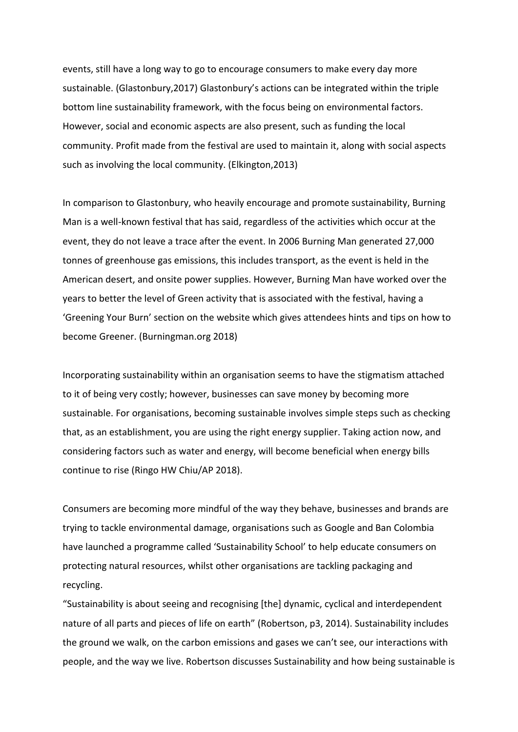events, still have a long way to go to encourage consumers to make every day more sustainable. (Glastonbury,2017) Glastonbury's actions can be integrated within the triple bottom line sustainability framework, with the focus being on environmental factors. However, social and economic aspects are also present, such as funding the local community. Profit made from the festival are used to maintain it, along with social aspects such as involving the local community. (Elkington,2013)

In comparison to Glastonbury, who heavily encourage and promote sustainability, Burning Man is a well-known festival that has said, regardless of the activities which occur at the event, they do not leave a trace after the event. In 2006 Burning Man generated 27,000 tonnes of greenhouse gas emissions, this includes transport, as the event is held in the American desert, and onsite power supplies. However, Burning Man have worked over the years to better the level of Green activity that is associated with the festival, having a 'Greening Your Burn' section on the website which gives attendees hints and tips on how to become Greener. (Burningman.org 2018)

Incorporating sustainability within an organisation seems to have the stigmatism attached to it of being very costly; however, businesses can save money by becoming more sustainable. For organisations, becoming sustainable involves simple steps such as checking that, as an establishment, you are using the right energy supplier. Taking action now, and considering factors such as water and energy, will become beneficial when energy bills continue to rise (Ringo HW Chiu/AP 2018).

Consumers are becoming more mindful of the way they behave, businesses and brands are trying to tackle environmental damage, organisations such as Google and Ban Colombia have launched a programme called 'Sustainability School' to help educate consumers on protecting natural resources, whilst other organisations are tackling packaging and recycling.

"Sustainability is about seeing and recognising [the] dynamic, cyclical and interdependent nature of all parts and pieces of life on earth" (Robertson, p3, 2014). Sustainability includes the ground we walk, on the carbon emissions and gases we can't see, our interactions with people, and the way we live. Robertson discusses Sustainability and how being sustainable is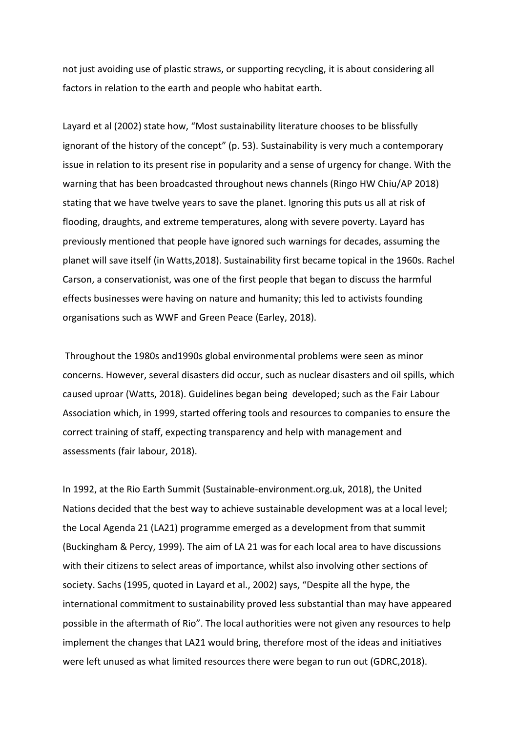not just avoiding use of plastic straws, or supporting recycling, it is about considering all factors in relation to the earth and people who habitat earth.

Layard et al (2002) state how, "Most sustainability literature chooses to be blissfully ignorant of the history of the concept" (p. 53). Sustainability is very much a contemporary issue in relation to its present rise in popularity and a sense of urgency for change. With the warning that has been broadcasted throughout news channels (Ringo HW Chiu/AP 2018) stating that we have twelve years to save the planet. Ignoring this puts us all at risk of flooding, draughts, and extreme temperatures, along with severe poverty. Layard has previously mentioned that people have ignored such warnings for decades, assuming the planet will save itself (in Watts,2018). Sustainability first became topical in the 1960s. Rachel Carson, a conservationist, was one of the first people that began to discuss the harmful effects businesses were having on nature and humanity; this led to activists founding organisations such as WWF and Green Peace (Earley, 2018).

Throughout the 1980s and1990s global environmental problems were seen as minor concerns. However, several disasters did occur, such as nuclear disasters and oil spills, which caused uproar (Watts, 2018). Guidelines began being developed; such as the Fair Labour Association which, in 1999, started offering tools and resources to companies to ensure the correct training of staff, expecting transparency and help with management and assessments (fair labour, 2018).

In 1992, at the Rio Earth Summit (Sustainable-environment.org.uk, 2018), the United Nations decided that the best way to achieve sustainable development was at a local level; the Local Agenda 21 (LA21) programme emerged as a development from that summit (Buckingham & Percy, 1999). The aim of LA 21 was for each local area to have discussions with their citizens to select areas of importance, whilst also involving other sections of society. Sachs (1995, quoted in Layard et al., 2002) says, "Despite all the hype, the international commitment to sustainability proved less substantial than may have appeared possible in the aftermath of Rio". The local authorities were not given any resources to help implement the changes that LA21 would bring, therefore most of the ideas and initiatives were left unused as what limited resources there were began to run out (GDRC,2018).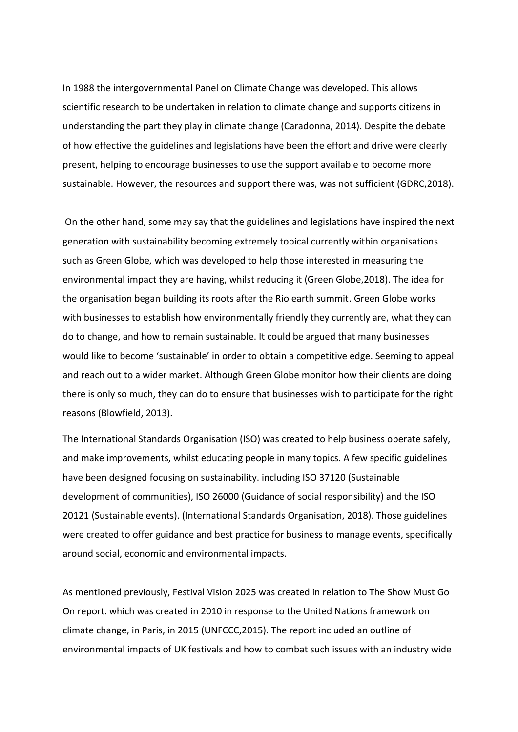In 1988 the intergovernmental Panel on Climate Change was developed. This allows scientific research to be undertaken in relation to climate change and supports citizens in understanding the part they play in climate change (Caradonna, 2014). Despite the debate of how effective the guidelines and legislations have been the effort and drive were clearly present, helping to encourage businesses to use the support available to become more sustainable. However, the resources and support there was, was not sufficient (GDRC,2018).

On the other hand, some may say that the guidelines and legislations have inspired the next generation with sustainability becoming extremely topical currently within organisations such as Green Globe, which was developed to help those interested in measuring the environmental impact they are having, whilst reducing it (Green Globe,2018). The idea for the organisation began building its roots after the Rio earth summit. Green Globe works with businesses to establish how environmentally friendly they currently are, what they can do to change, and how to remain sustainable. It could be argued that many businesses would like to become 'sustainable' in order to obtain a competitive edge. Seeming to appeal and reach out to a wider market. Although Green Globe monitor how their clients are doing there is only so much, they can do to ensure that businesses wish to participate for the right reasons (Blowfield, 2013).

The International Standards Organisation (ISO) was created to help business operate safely, and make improvements, whilst educating people in many topics. A few specific guidelines have been designed focusing on sustainability. including ISO 37120 (Sustainable development of communities), ISO 26000 (Guidance of social responsibility) and the ISO 20121 (Sustainable events). (International Standards Organisation, 2018). Those guidelines were created to offer guidance and best practice for business to manage events, specifically around social, economic and environmental impacts.

As mentioned previously, Festival Vision 2025 was created in relation to The Show Must Go On report. which was created in 2010 in response to the United Nations framework on climate change, in Paris, in 2015 (UNFCCC,2015). The report included an outline of environmental impacts of UK festivals and how to combat such issues with an industry wide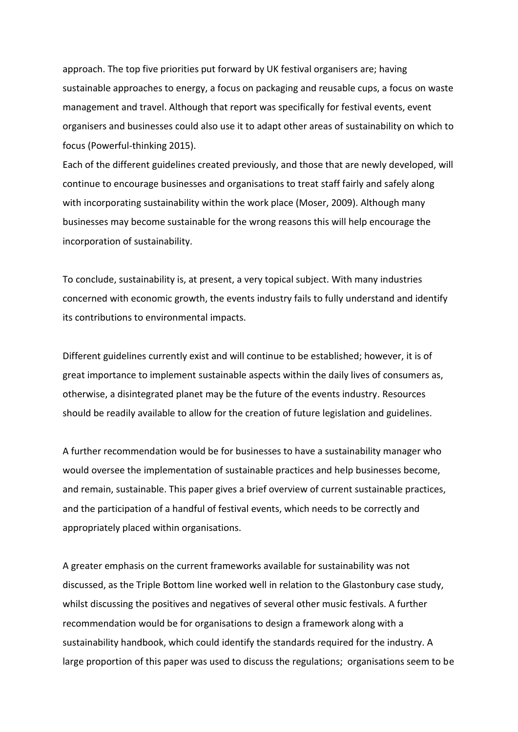approach. The top five priorities put forward by UK festival organisers are; having sustainable approaches to energy, a focus on packaging and reusable cups, a focus on waste management and travel. Although that report was specifically for festival events, event organisers and businesses could also use it to adapt other areas of sustainability on which to focus (Powerful-thinking 2015).

Each of the different guidelines created previously, and those that are newly developed, will continue to encourage businesses and organisations to treat staff fairly and safely along with incorporating sustainability within the work place (Moser, 2009). Although many businesses may become sustainable for the wrong reasons this will help encourage the incorporation of sustainability.

To conclude, sustainability is, at present, a very topical subject. With many industries concerned with economic growth, the events industry fails to fully understand and identify its contributions to environmental impacts.

Different guidelines currently exist and will continue to be established; however, it is of great importance to implement sustainable aspects within the daily lives of consumers as, otherwise, a disintegrated planet may be the future of the events industry. Resources should be readily available to allow for the creation of future legislation and guidelines.

A further recommendation would be for businesses to have a sustainability manager who would oversee the implementation of sustainable practices and help businesses become, and remain, sustainable. This paper gives a brief overview of current sustainable practices, and the participation of a handful of festival events, which needs to be correctly and appropriately placed within organisations.

A greater emphasis on the current frameworks available for sustainability was not discussed, as the Triple Bottom line worked well in relation to the Glastonbury case study, whilst discussing the positives and negatives of several other music festivals. A further recommendation would be for organisations to design a framework along with a sustainability handbook, which could identify the standards required for the industry. A large proportion of this paper was used to discuss the regulations; organisations seem to be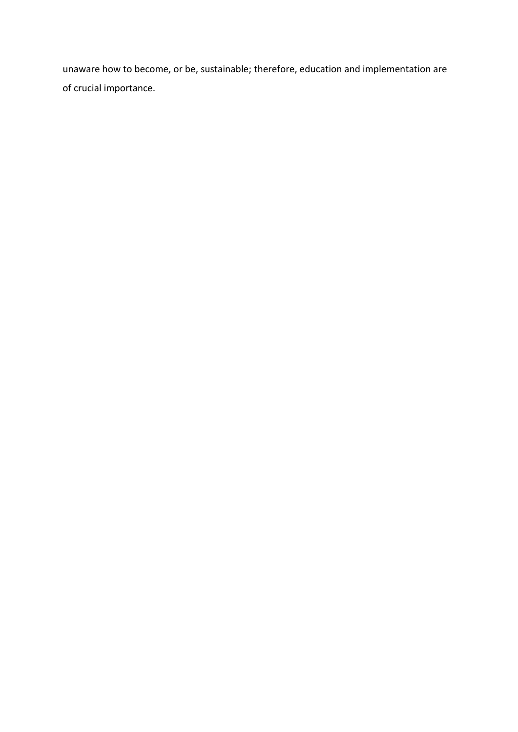unaware how to become, or be, sustainable; therefore, education and implementation are of crucial importance.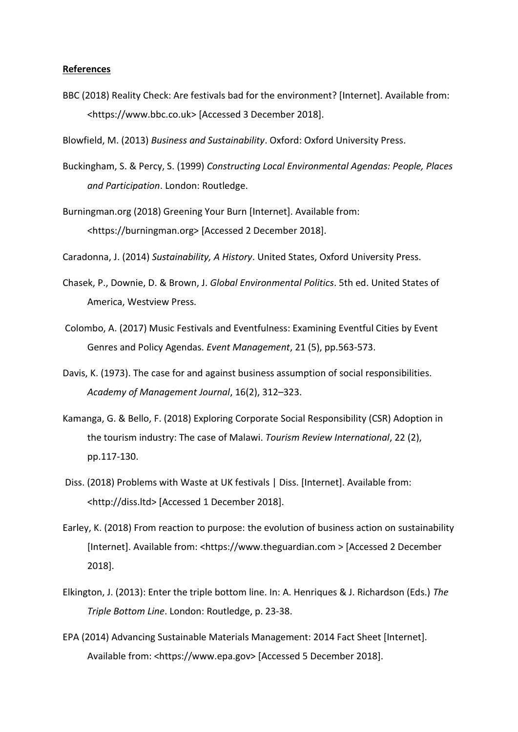## **References**

- BBC (2018) Reality Check: Are festivals bad for the environment? [Internet]. Available from: <https://www.bbc.co.uk> [Accessed 3 December 2018].
- Blowfield, M. (2013) *Business and Sustainability*. Oxford: Oxford University Press.
- Buckingham, S. & Percy, S. (1999) *Constructing Local Environmental Agendas: People, Places and Participation*. London: Routledge.
- Burningman.org (2018) Greening Your Burn [Internet]. Available from: <https://burningman.org> [Accessed 2 December 2018].
- Caradonna, J. (2014) *Sustainability, A History*. United States, Oxford University Press.
- Chasek, P., Downie, D. & Brown, J. *Global Environmental Politics*. 5th ed. United States of America, Westview Press.
- Colombo, A. (2017) Music Festivals and Eventfulness: Examining Eventful Cities by Event Genres and Policy Agendas. *Event Management*, 21 (5), pp.563-573.
- Davis, K. (1973). The case for and against business assumption of social responsibilities. *Academy of Management Journal*, 16(2), 312–323.
- Kamanga, G. & Bello, F. (2018) Exploring Corporate Social Responsibility (CSR) Adoption in the tourism industry: The case of Malawi. *Tourism Review International*, 22 (2), pp.117-130.
- Diss. (2018) Problems with Waste at UK festivals | Diss. [Internet]. Available from: <http://diss.ltd> [Accessed 1 December 2018].
- Earley, K. (2018) From reaction to purpose: the evolution of business action on sustainability [Internet]. Available from: <https://www.theguardian.com > [Accessed 2 December] 2018].
- Elkington, J. (2013): Enter the triple bottom line. In: A. Henriques & J. Richardson (Eds.) *The Triple Bottom Line*. London: Routledge, p. 23-38.
- EPA (2014) Advancing Sustainable Materials Management: 2014 Fact Sheet [Internet]. Available from: <https://www.epa.gov> [Accessed 5 December 2018].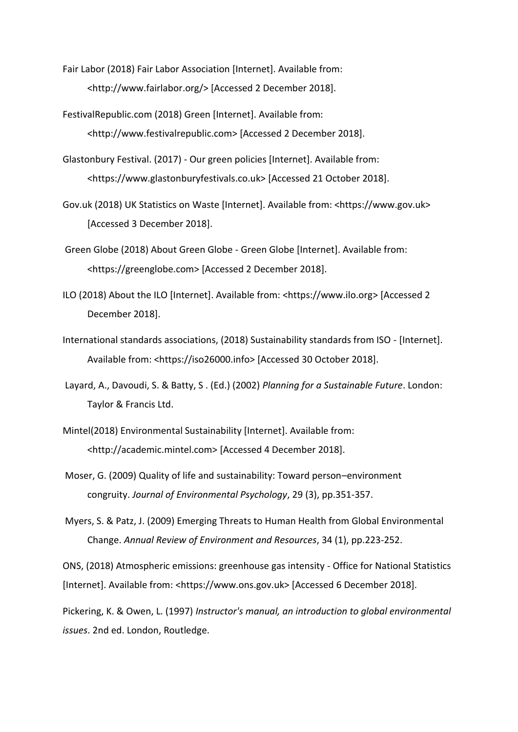- Fair Labor (2018) Fair Labor Association [Internet]. Available from: <http://www.fairlabor.org/> [Accessed 2 December 2018].
- FestivalRepublic.com (2018) Green [Internet]. Available from: <http://www.festivalrepublic.com> [Accessed 2 December 2018].
- Glastonbury Festival. (2017) Our green policies [Internet]. Available from: <https://www.glastonburyfestivals.co.uk> [Accessed 21 October 2018].
- Gov.uk (2018) UK Statistics on Waste [Internet]. Available from: <https://www.gov.uk> [Accessed 3 December 2018].
- Green Globe (2018) About Green Globe Green Globe [Internet]. Available from: <https://greenglobe.com> [Accessed 2 December 2018].
- ILO (2018) About the ILO [Internet]. Available from: <https://www.ilo.org> [Accessed 2 December 2018].
- International standards associations, (2018) Sustainability standards from ISO [Internet]. Available from: <https://iso26000.info> [Accessed 30 October 2018].
- Layard, A., Davoudi, S. & Batty, S . (Ed.) (2002) *Planning for a Sustainable Future*. London: Taylor & Francis Ltd.
- Mintel(2018) Environmental Sustainability [Internet]. Available from: <http://academic.mintel.com> [Accessed 4 December 2018].
- Moser, G. (2009) Quality of life and sustainability: Toward person–environment congruity. *Journal of Environmental Psychology*, 29 (3), pp.351-357.
- Myers, S. & Patz, J. (2009) Emerging Threats to Human Health from Global Environmental Change. *Annual Review of Environment and Resources*, 34 (1), pp.223-252.

ONS, (2018) Atmospheric emissions: greenhouse gas intensity - Office for National Statistics [Internet]. Available from: <https://www.ons.gov.uk> [Accessed 6 December 2018].

Pickering, K. & Owen, L. (1997) *Instructor's manual, an introduction to global environmental issues*. 2nd ed. London, Routledge.